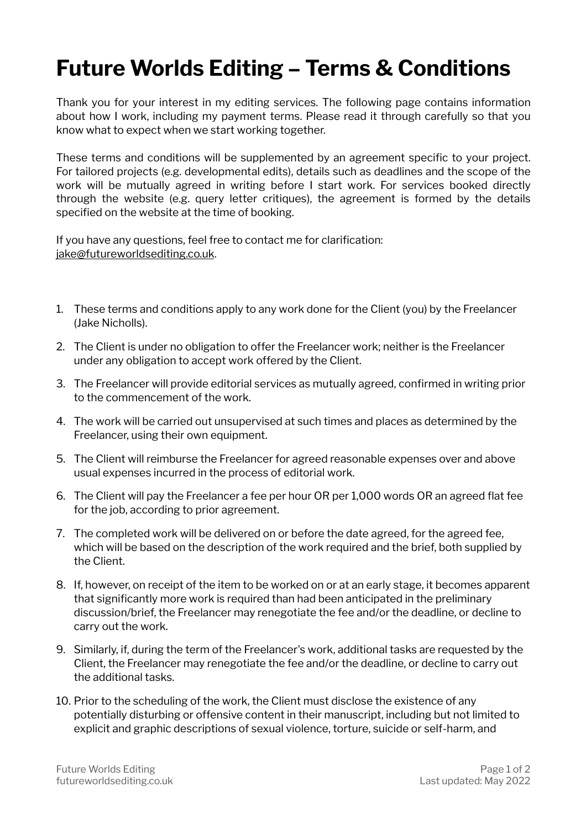## **Future Worlds Editing – Terms & Conditions**

Thank you for your interest in my editing services. The following page contains information about how I work, including my payment terms. Please read it through carefully so that you know what to expect when we start working together.

These terms and conditions will be supplemented by an agreement specific to your project. For tailored projects (e.g. developmental edits), details such as deadlines and the scope of the work will be mutually agreed in writing before I start work. For services booked directly through the website (e.g. query letter critiques), the agreement is formed by the details specified on the website at the time of booking.

If you have any questions, feel free to contact me for clarification: [jake@futureworldsediting.co.uk](mailto:jake@futureworldsediting.co.uk).

- 1. These terms and conditions apply to any work done for the Client (you) by the Freelancer (Jake Nicholls).
- 2. The Client is under no obligation to offer the Freelancer work; neither is the Freelancer under any obligation to accept work offered by the Client.
- 3. The Freelancer will provide editorial services as mutually agreed, confirmed in writing prior to the commencement of the work.
- 4. The work will be carried out unsupervised at such times and places as determined by the Freelancer, using their own equipment.
- 5. The Client will reimburse the Freelancer for agreed reasonable expenses over and above usual expenses incurred in the process of editorial work.
- 6. The Client will pay the Freelancer a fee per hour OR per 1,000 words OR an agreed flat fee for the job, according to prior agreement.
- 7. The completed work will be delivered on or before the date agreed, for the agreed fee, which will be based on the description of the work required and the brief, both supplied by the Client.
- 8. If, however, on receipt of the item to be worked on or at an early stage, it becomes apparent that significantly more work is required than had been anticipated in the preliminary discussion/brief, the Freelancer may renegotiate the fee and/or the deadline, or decline to carry out the work.
- 9. Similarly, if, during the term of the Freelancer's work, additional tasks are requested by the Client, the Freelancer may renegotiate the fee and/or the deadline, or decline to carry out the additional tasks.
- 10. Prior to the scheduling of the work, the Client must disclose the existence of any potentially disturbing or offensive content in their manuscript, including but not limited to explicit and graphic descriptions of sexual violence, torture, suicide or self-harm, and